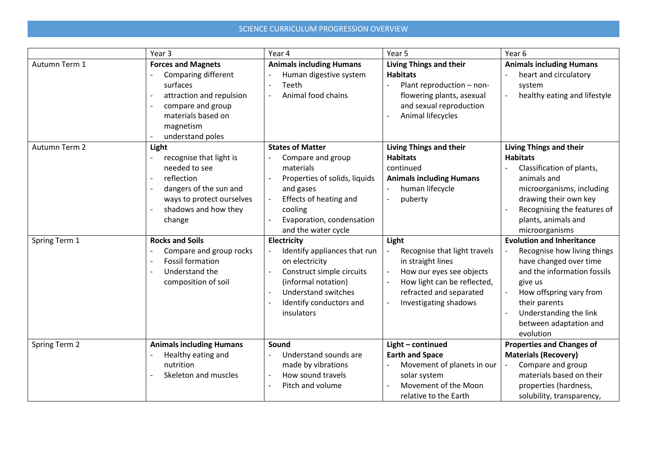## SCIENCE CURRICULUM PROGRESSION OVERVIEW

|               | Year 3                                                                                                                                                               | Year 4                                                                                                                                                                                                                                                   | Year 5                                                                                                                                                                    | Year <sub>6</sub>                                                                                                                                                                                                                                |
|---------------|----------------------------------------------------------------------------------------------------------------------------------------------------------------------|----------------------------------------------------------------------------------------------------------------------------------------------------------------------------------------------------------------------------------------------------------|---------------------------------------------------------------------------------------------------------------------------------------------------------------------------|--------------------------------------------------------------------------------------------------------------------------------------------------------------------------------------------------------------------------------------------------|
| Autumn Term 1 | <b>Forces and Magnets</b><br>Comparing different<br>surfaces<br>attraction and repulsion<br>compare and group<br>materials based on<br>magnetism<br>understand poles | <b>Animals including Humans</b><br>Human digestive system<br>Teeth<br>$\overline{\phantom{a}}$<br>Animal food chains<br>$\overline{\phantom{a}}$                                                                                                         | <b>Living Things and their</b><br><b>Habitats</b><br>Plant reproduction - non-<br>flowering plants, asexual<br>and sexual reproduction<br>Animal lifecycles               | <b>Animals including Humans</b><br>heart and circulatory<br>system<br>healthy eating and lifestyle                                                                                                                                               |
| Autumn Term 2 | Light<br>recognise that light is<br>needed to see<br>reflection<br>dangers of the sun and<br>ways to protect ourselves<br>shadows and how they<br>change             | <b>States of Matter</b><br>Compare and group<br>materials<br>Properties of solids, liquids<br>and gases<br>Effects of heating and<br>$\overline{a}$<br>cooling<br>Evaporation, condensation<br>and the water cycle                                       | <b>Living Things and their</b><br><b>Habitats</b><br>continued<br><b>Animals including Humans</b><br>human lifecycle<br>puberty                                           | <b>Living Things and their</b><br><b>Habitats</b><br>Classification of plants,<br>animals and<br>microorganisms, including<br>drawing their own key<br>Recognising the features of<br>plants, animals and<br>microorganisms                      |
| Spring Term 1 | <b>Rocks and Soils</b><br>Compare and group rocks<br><b>Fossil formation</b><br>Understand the<br>composition of soil                                                | Electricity<br>Identify appliances that run<br>on electricity<br>Construct simple circuits<br>$\overline{a}$<br>(informal notation)<br><b>Understand switches</b><br>$\overline{\phantom{a}}$<br>Identify conductors and<br>$\overline{a}$<br>insulators | Light<br>Recognise that light travels<br>in straight lines<br>How our eyes see objects<br>How light can be reflected,<br>refracted and separated<br>Investigating shadows | <b>Evolution and Inheritance</b><br>Recognise how living things<br>have changed over time<br>and the information fossils<br>give us<br>How offspring vary from<br>their parents<br>Understanding the link<br>between adaptation and<br>evolution |
| Spring Term 2 | <b>Animals including Humans</b><br>Healthy eating and<br>nutrition<br>Skeleton and muscles                                                                           | Sound<br>Understand sounds are<br>made by vibrations<br>How sound travels<br>$\overline{\phantom{a}}$<br>Pitch and volume                                                                                                                                | Light - continued<br><b>Earth and Space</b><br>Movement of planets in our<br>solar system<br>Movement of the Moon<br>relative to the Earth                                | <b>Properties and Changes of</b><br><b>Materials (Recovery)</b><br>Compare and group<br>materials based on their<br>properties (hardness,<br>solubility, transparency,                                                                           |